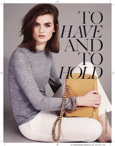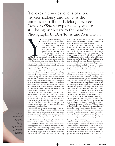## It evokes memories, elicits passion, inspires jealousy and can cost the same as a small flat. Lifelong devotee *Christa D'Souza* explores why we are still losing our hearts to the handbag. Photographs by *Ben Toms* and *Neil Gavin*

our first grown-up handbag. Do you remember it? The one that marked the momentous passage from mere graduate to Person with a Proper Job? Mine was a burgundy quilt'n'gilt affair, shaped like a giant section of Toblerone, from – well, where else? – Chanel. It cost more than

anything I had ever<br>hidden from my fam<br>weeks before and af anything I had ever owned, had to be scrupulously hidden from my family, and meant eating pasta for weeks before and afterwards. But I didn't care. I'd just started my first properly important, properly intimidating job, and I needed the properly important, properly protective bag to go with it.

My precious "starter" bag. What a loyal, reassuring friend it was, and how it was worth all that expense and cheap pasta. I can still feel it swinging slightly awkwardly from my shoulder (it was New York in the Eighties, so my sneakers often went in there as well), can still smell its fusty, oxblood-coloured insides to which a stray cherry throat-drop would always be stuck. How safe I felt in that battlefield of an office with it there, like a talisman, beside me. How violated and limbless when it was nicked from under my desk by a messenger, with my passport, my green card, my money, my keys, my everything inside…

The Handbag. That thing we must no longer, under any circumstance, describe as "trophy", "It" or, worst of all, "iconic". That thing of your mother's you carried around the house in the crook of your arm when you could barely walk; that thing you must never ask your other half to carry for you, not even for a second, unless you want to very publicly, very ritualistically humiliate him.

Lately, with shoes taking centre stage, it has not really been the handbag's moment, has it? Poor thing. How many super-stylish women have I come across recently who recoil slightly when you mention the subject and proudly swear that the bag that does fine for the moment is a battered canvas tote from Daunt Books? As one of them drily asked, "Shouldn't you be writing a piece about the pocket instead?"

In a way, I am with her. I don't much think of myself as a bag person, and even if I were, I love the look that shouts, "I've a car permanently purring outside." All that handbag hardware, all those charms and padlocks, all those bags bigger than their owners (remember how dwarfed the Olsen twins were by their Kelly bags?). How could we not go off them for a bit? As long as it does the job, surely the better significant buy would be, well, yes, a pair of killer shoes?

And yet. The raging covetousness I cannot help feeling in the presence of an Hermès Micro Constance… The new friends I made, the chat that was engendered, when I took Chanel's hula-hoop bag as my date to a drinks party the other evening… The respect that the embossed Boy, kindly lent by Chanel, so stealthily commands… And the sadness I feel, even though you can barely fit an Oyster card into it, let alone a wallet and keys, at the thought of having to give it back… As for the vintagey white bugle-beaded baguette Fendi let me fondle for a few days – with a tan and a pair of flip-flops? Drinking Greek rosé in a Mykonos bar? Oh, my. Who knew the hole in my heart was baguette-shaped, and how miserable I will be to say goodbye to it? To be seduced by a bag. To know your life will be complete if it can just be yours. Don't underestimate that feeling. The shops certainly don't.

"The accessory may change, but the desire is always there," says Ed Burstell, managing director of Liberty. "As a retailer you have to put yourself in front of that desire and figure where it pops up. Along with niche fragrance and jewellery, handbags are what we are standing behind right now." He adds how Liberty's figures for handbag business last year rose by 12 per cent. According to Stephane Jaspar of Stella McCartney, the riotously popular Falabella bag, which came out quite a few years ago, still accounts for a good part of the accessories business, which itself accounts for a quarter of the entire business. He expects the new Boo bag, named after Stella's daughter, will do the same.

"Everyone likes to say the demise of this, the demise of that. Well, I'm sorry, the actual customer disagrees." So speaks Stuart Vevers, creative director of Loewe (formerly at Mulberry). "Nothing seems to connect as powerfully with the customer as a bag," he says. "If you see a bag that truly, truly speaks to you, that you just know you have to have right now or else, all that gloom and doom stuff can go straight out the window. *Nothing* works like a great bag."

"You can be fat, short, tall, ugly or beautiful, a bag is something that a woman can always wear," agrees Camille Miceli, former muse to Marc Jacobs and now Dior's creative director of accessories. "A bag is a positive way for any woman to access a brand without having to either try it on or fit into it. It's got the excuse of being practical, too, unlike scent >

"You can be short, fat, tall, ugly or beautiful, a bag is something that a woman can always wear." Leather Cecily bag, £1,100, Mulberry. Hair: Naoki Komiya. Make-up: Lauren Parsons. **Model: Lara Mullen. Fashion editor: Emma Elwick-Bates**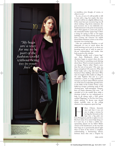*"My bags are a way for me to be part of the fashion world without being too in-yourface"*

Blouse designer Sophie Hamilton, photographed here with her vintage Lanvin clutch. Hair and make-up throughout: Rozelle Parry. **Stylist: Saranne Woodcroft. Sittings editor: Michael Trow**

or jewellery, even though, of course, so often it is not."

So, yes, *of course* it's still possible to fall in lust with a bag, but maybe this time around it will be in a slightly different way. If the must-have pre-recession bag was all about making a big showy statement, the post-recession one is very definitely not. Understatement to the point of anonymity, that's what appears to count now, such as the minimalist leather "paper bags" Céline is doing for spring in blue or red nappa lambskin, or the black schooly pencil case from Comme des Garçons my stylish friend Sahar Hashemi counts as one of her favourite-ever evening bags.

Like nice underwear, therefore, or real diamonds, it's not so much about the world knowing you've got it, as about *you* knowing you've got it, with its state-ofthe-art craftsmanship and insides that look as good as the outsides.

"Nobody actually *needs* a luxury bag," says Anya Hindmarch, whose own obsession began in earnest when she was 16, "but there is something mood-altering about them. They're not just receptacles for our things. They're tribal. They're more than the sum of our parts." Oh, come on, bag as semaphore? Of course it is. Why did Freud make such a big deal about poor hysterical Dora fiddling with hers? Why were we taught in film studies at college in the early Eighties that just as a gun symbolises a penis, so a bag symbolises a woman's you-know-what? Which reminds me of the time I accidentally upended mine in the lobby of the Carlton Tower: coins, balled-up receipts containing wads of old chewing-gum, half-unwrapped Tampax, keys, an empty edamame pod, even – all cascaded on to the marble floor, while a doorman looked on, too embarrassed to help. It all chimes with a 1945 article entitled "Bagology" in *The New York Times*, which advised, "A decent man should always tactfully stare at the ceiling whenever his companion opens her bag."

Illary Clinton famously<br>
once said that it was not<br>
nice to judge a woman by<br>
her bag (her favourite at the<br>
time was a big pink one<br>
from Ferragamo), and she is right, it is not. illary Clinton famously once said that it was not nice to judge a woman by her bag (her favourite at the  $\overline{\phantom{a}}$  time was a big pink one

But how many of us cannot help doing so? Is it just me, or is there a subtle oneupmanship played out by fellow Birkin owners at the hairdresser's, in the way that their bags are so prominently placed right there in front of the mirror; a complicit understanding, a freemasonry, almost, between those who own a Trapeze by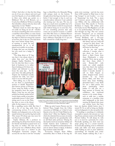Céline? And why is it that the first thing you do if you are a dancer and you've got your first big job, or so I am reliably told, is to blow your whole pay packet on a Mulberry? Not an LK Bennett, not a Coach, but a Mulberry? If there is anything that identifies a dancer who has done well, apparently, it is her "Mulbs".

However much we claim that bags are not really our thing, we are all – whether we choose something that costs as much as a small flat in Kensal Rise or a tatty charity tote – making some sort of statement with the object to which we entrust the contents of our lives, day in day out. The dual desire

that most human beings have, of wanting to stand out and simultaneously fit in, is all played out in public via our bags. A badge that says one belongs, but very much not a badge, if you like.

"The thing about an 'It' bag was that it was always about it rather than you," says blouse designer Sophie Hamilton. "I love the idea that there is some kind of backstory to it, rather than it looking as if it's been oneclicked and delivered to your house the same day… At the same time," she adds, patting the Trapeze her boyfriend recently surprised her with, "you don't want to *not* run with the pack."

How telling, too, is the way we use them as psychological anchors or shields. Remember that famous picture of Princess Grace using her Kelly to hide her pregnancy from the press? Many a time has my own bag politely but firmly warded off an overly chatty, smelly or just plain undesirable person I don't want sitting next to me on the Tube, the train or even at the dinner table. In that respect, it is a little

like a squalling, snotty child. But then I ask a lot of my bag, aside from its conveyancing services. It is my security blanket, my bodyguard, even, in the way it stands between me and the big, bad world. This means I'll always pay way more for one than I can ever afford.

Sophie Delaney, 28, a producer in advertising, has always been known among her friends and family to spend more on a bag than on clothes. The first one she saved up for was a Mulberry Roxy, which she proudly wore as a student on the Nottingham University campus. The second, the one that is now her "everyday" bag, is a black Rocco by Alexander Wang, with antique studs on the bottom. "I thought about that bag every day for a year before I had enough to buy it, and was insanely jealous whenever I saw anybody else wearing one," she says. "For me, my bags are a much more accessible way to be a part of the fashion world. It's my personal style without being too in-your-face. See, it's not something precious that only comes out on special occasions. I couldn't wear Miu Miu shoes or a Roland Mouret dress to work every day, for example, but a bag is different. Especially if it is one you have coveted for a really long time."



Cosima Vesey with a bag by Givenchy. She is passionate about handbags. "I tell myself they're an investment. You could say I'm saving money by buying them now rather than later, right?"

Make-up artist Lauren Parsons sees her beloved Nano, bought from the Céline concession at Selfridges, as "a kind of carte blanche to be a bit of a Vicky Pollard on the clothes front". Ditto her Eighties Chanel, which she inherited from an aunt, its insides lovingly relined by her grandmother with an old black nylon petticoat. "During the day I pretty much run around in Adidas and trackie bottoms from Lululemon," she confesses. "At night I'm not that adventurous and am almost always in black. A fabulous bag somehow makes that OK."

Accessories designer Katie Hillier, meanwhile, likes to think of the bag she picks every morning – and she has more than 2,500 stacked in Muji boxes in her bag "morgue" in east London – as a way of "sharpening" her look. "I'm a jeans and Converse person during the day," says Hillier, who has collaborated with everyone from Marc Jacobs to Victoria Beckham to Asprey. "My clothes aren't how I play out my 'Mrs Rigidness', as I call it, or my professionalism. I'll tend to do that through my bag." Her two current favourite "sharpeners" are an extremely grown-up navy-blue Victoria bag from Victoria Beckham, and a two-tone crocodile shoulder bag from Asprey. "My

dad always said you could tell a person by their shoes," she says, "I actually think you can tell better by their bag."

As for my own modest collection, I wonder what it says about me. Let's see… there's a black Gracie from Anya Hindmarch; a white peephole Nevis zip-up pouch, also from Anya, which I carry Russian-doll style inside my cobalt peephole tote; then there's the medium black shopper from Chanel, which I recently decided to sell on Style Sequel, an online designer-resale service founded by my friend Emma Allen, and then two hours later, heart thudding, demanded back. I may think I'm not a label person, but<br>those interlocking raised those interlocking leather Cs still give me a huge amount of security, the<br>confidence, the emotional confidence, the armour, to do certain things – such as walk into a swanky restaurant or a jewellery shop with bodyguards at the door, wearing the flannel shirt, jeans and cowboy boots that have

been my daytime default button since I turned 50. So as well as being my blankie and my bodyguard, it is also my perfect foil.

"A handbag is something it is definitely reasonable to spend a fair amount on," says Inga Fraser, assistant curator at the National Portrait Gallery. "It will always be with you so it must be a perennial, for a start. Practically speaking, you don't want any straps giving way at a crucial moment. Economically speaking, it has to withstand sticky pub tables and dusty pavements while holding its own in more salubrious surroundings. It's basically your avatar. Of course, despite realising this, I am >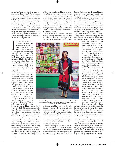incapable of making my handbag avatar any less flawed than myself." Fraser's current avatar comes in the shape of a beautifully weathered, vintage brown leather backpack, "which my practical brother dismissed as wildly impractical due to its dodgy catch," and a strapless, vintage black satchel "that looks like something my grandpa carried his camera in, in the Seventies," she says. "While the strapless look is unintended – I really keep meaning to have one put on  $-$  it seems I am bang on the money with the current modish yet impractical method of hauling one's things around."

I'm that the truth. Me,<br>I'd adore to be the sort of<br>woman who could do the<br>large-clutch-for-day<br>thing. What volumes it<br>speaks, being able to carry this sn't that the truth. Me, I'd adore to be the sort of woman who could do the large-clutch-for-day thing. What volumes it look off, and what beautiful ones there are around, too. Look at the oversize purple one Roksanda Ilincic showed for spring. And what about the daffodil-yellow envelope from Sophie Hulme, which Kate Moss so cleverly paired with a leopard-print coat at the end of last year?

But are they practical for the humble civilian? It's hard, with all the shit one lugs around, to keep it neatly tucked under an arm. As for between one's finger and thumb, what a waste of a spare hand. To be honest, the only place that feels really right to carry anything is a shoulder. Whether it's a light day, a heavy day, or a super-plus day, the shoulder is where, for me, it most comfortably goes.

"On your shoulder? But I haven't worn a bag on my shoulder for three years!" So says stylist Martha Ward, whom

I meet for tea at Little House. She is wearing a Tod's Signature mini shoulder bag – the approximate size, we agree, of a panty-liner – and, amazingly, not much else. How on earth does she do this? "I know," she sighs. "It means making a few sacrifices, like leaving my diary at home. But it's a good way to declutter. No, seriously," she adds, somewhat unconvincingly, "you should try it. It's like water finding its own level. It's amazing the junk we don't carry round if we can't."

"Bags, for me, always mark an emotion," says Laura Bailey, who is designing a collection of handbags for Radley. "Each of them has a backstory, like the oversize white Chanel that I was given when I had my son, the most glamorous baby bag ever, or the cheap wicker basket I got from a market in St Tropez. The Louis Vuitton monogram clutch given to me by Bay Garnett, or the Gucci one I scored as a student in a charity shop, or the pretty damn perfect vintage Hermès satchel that I hinted about like crazy pre-birthday and will treasure forever."

It's true. Past bags have such a habit of evoking strong memories, of bringing you back to where you were right then. No wonder it sometimes feels a little



Chef Florence Knight says she has never been a bag person. But then her fiancé gave her this simple, exquisite Lanvin briefcase, and it suits her personality just brilliantly

cuckooish inheriting one, why it feels disloyal – even though you know it is well past its sell-by date – throwing it out.

But then how long is a bag supposed to last? How many, in this day and age, is it appropriate to own? This is a tricky one because, unlike clothes, which you can mix and match, a bag is always going to say the same thing. It has an awful lot of ground to cover, in other words.

When I visit stylist Cosima Vesey, 26, she has a selection of at least 20 on the table in the Picasso-lined hallway of her penthouse to show me. Among them are a couple of Lady Diors, the Chanel 2.5 bought for her on her sixteenth birthday and a few python envelopes made for her "by Savine, my lady in Spain". No Trapeze, then? "Oh no, because everyone has one of those, don't you think?" She does have, however, a vintage Balenciaga Motorcycle, which she hopes one day to pass on to a daughter. She herself constantly pilfers from her own mother, the Anglo-Indian designer Lady Sita de Vesci. "Yes, of course she minds," says Vesey, "but she travels!"

In stark contrast is actress Annabel Baring, who can boast, amazingly, just the one: a brown woven Bottega Veneta that her husband bought for her as a Valentine's

present eight years ago. "It has been to the Bottega bag 'spa' in Naples twice, but is now covered in leaked Biro stains and, although I am loath to admit it, probably is on its last legs," says Baring from the family home in Notting Hill. "I've got a scrumpled-up piece of paper in it with a picture of a Marcello from Cartier in it. It is probably going to be its successor, but it feels traitorish saying that out loud." Might this be called bag integrity? It certainly takes confidence to pull it off, and I agree with Sue Jones, formerly of Jasper Conran, when she says she feels bullied by the media into thinking that she needs a light-coloured bag for summer.

Another day, another bag to borrow. This time my kind friend Anya lends me a coral ostrich Carker from her spring/ summer '13 collection. I like the "schooliness" of the thick crossbody canvas strap; I like its corrective effect, the way it flatteringly separates what might otherwise be construed as a mono-bosom. Being one of those mothers who always

preferred slings to pushchairs, I also like having everything I need, right there, kangaroo-like in front of me (as opposed to having to delve blindly under an armpit). But even if it isn't exactly panty-liner size, am I not always going to need two? Or maybe even three? I'd like to be butch about it, I would, but that big plastic key ring I got from Thorpe Park of me and one of the kids going on Stealth, the 75cl bottle of sports water, the yoga kit – where is all that going to go? Isn't a bag like a modernday husband, in that, with all that it provides, you can't really expect it to fulfil single-handedly every one of your needs?